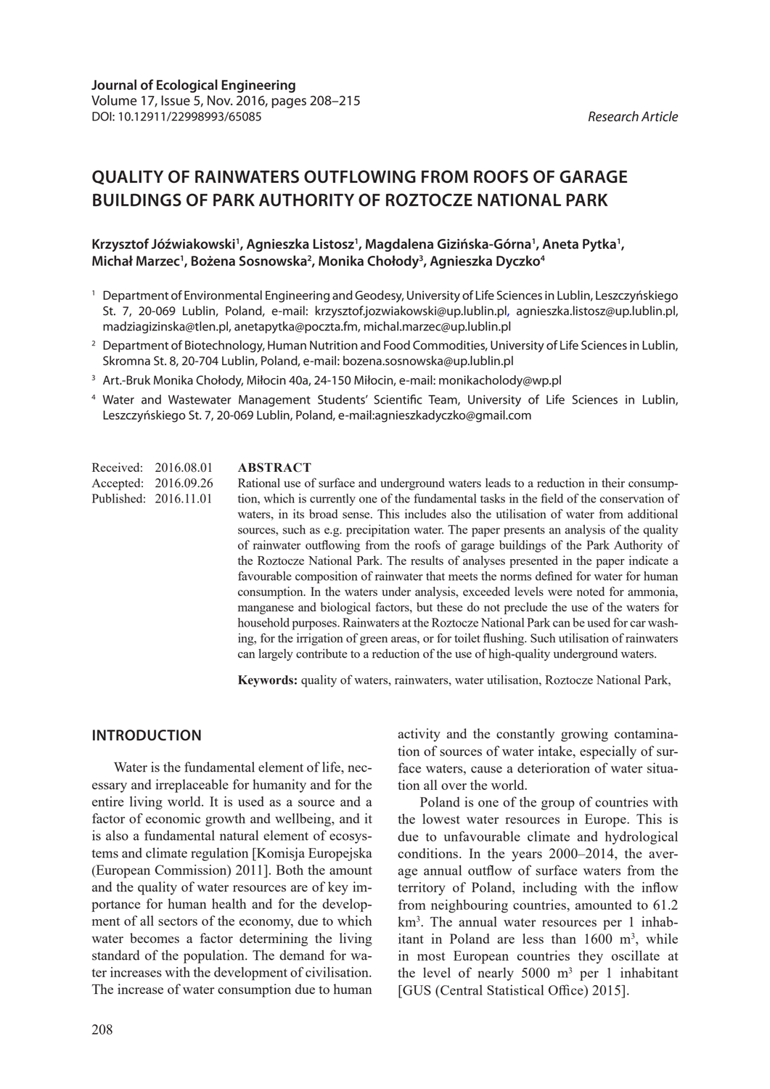# **QUALITY OF RAINWATERS OUTFLOWING FROM ROOFS OF GARAGE BUILDINGS OF PARK AUTHORITY OF ROZTOCZE NATIONAL PARK**

#### Krzysztof Jóźwiakowski<sup>1</sup>, Agnieszka Listosz<sup>1</sup>, Magdalena Gizińska-Górna<sup>1</sup>, Aneta Pytka<sup>1</sup>, **Michał Marzec1 , Bożena Sosnowska2 , Monika Chołody3 , Agnieszka Dyczko4**

- <sup>1</sup> Department of Environmental Engineering and Geodesy, University of Life Sciences in Lublin, Leszczyńskiego St. 7, 20-069 Lublin, Poland, e-mail: krzysztof.jozwiakowski@up.lublin.pl, agnieszka.listosz@up.lublin.pl, madziagizinska@tlen.pl, anetapytka@poczta.fm, michal.marzec@up.lublin.pl
- <sup>2</sup> Department of Biotechnology, Human Nutrition and Food Commodities, University of Life Sciences in Lublin, Skromna St. 8, 20-704 Lublin, Poland, e-mail: bozena.sosnowska@up.lublin.pl
- <sup>3</sup> Art.-Bruk Monika Chołody, Miłocin 40a, 24-150 Miłocin, e-mail: monikacholody@wp.pl
- <sup>4</sup> Water and Wastewater Management Students' Scientific Team, University of Life Sciences in Lublin, Leszczyńskiego St. 7, 20-069 Lublin, Poland, e-mail:agnieszkadyczko@gmail.com

Received: 2016.08.01 Accepted: 2016.09.26 Published: 2016.11.01

### **ABSTRACT**

Rational use of surface and underground waters leads to a reduction in their consumption, which is currently one of the fundamental tasks in the field of the conservation of waters, in its broad sense. This includes also the utilisation of water from additional sources, such as e.g. precipitation water. The paper presents an analysis of the quality of rainwater outflowing from the roofs of garage buildings of the Park Authority of the Roztocze National Park. The results of analyses presented in the paper indicate a favourable composition of rainwater that meets the norms defined for water for human consumption. In the waters under analysis, exceeded levels were noted for ammonia, manganese and biological factors, but these do not preclude the use of the waters for household purposes. Rainwaters at the Roztocze National Park can be used for car washing, for the irrigation of green areas, or for toilet flushing. Such utilisation of rainwaters can largely contribute to a reduction of the use of high-quality underground waters.

**Keywords:** quality of waters, rainwaters, water utilisation, Roztocze National Park,

#### **INTRODUCTION**

Water is the fundamental element of life, necessary and irreplaceable for humanity and for the entire living world. It is used as a source and a factor of economic growth and wellbeing, and it is also a fundamental natural element of ecosystems and climate regulation [Komisja Europejska (European Commission) 2011]. Both the amount and the quality of water resources are of key importance for human health and for the development of all sectors of the economy, due to which water becomes a factor determining the living standard of the population. The demand for water increases with the development of civilisation. The increase of water consumption due to human

activity and the constantly growing contamination of sources of water intake, especially of surface waters, cause a deterioration of water situation all over the world.

Poland is one of the group of countries with the lowest water resources in Europe. This is due to unfavourable climate and hydrological conditions. In the years 2000–2014, the average annual outflow of surface waters from the territory of Poland, including with the inflow from neighbouring countries, amounted to 61.2 km3 . The annual water resources per 1 inhabitant in Poland are less than  $1600 \text{ m}^3$ , while in most European countries they oscillate at the level of nearly  $5000 \text{ m}^3$  per 1 inhabitant [GUS (Central Statistical Office) 2015].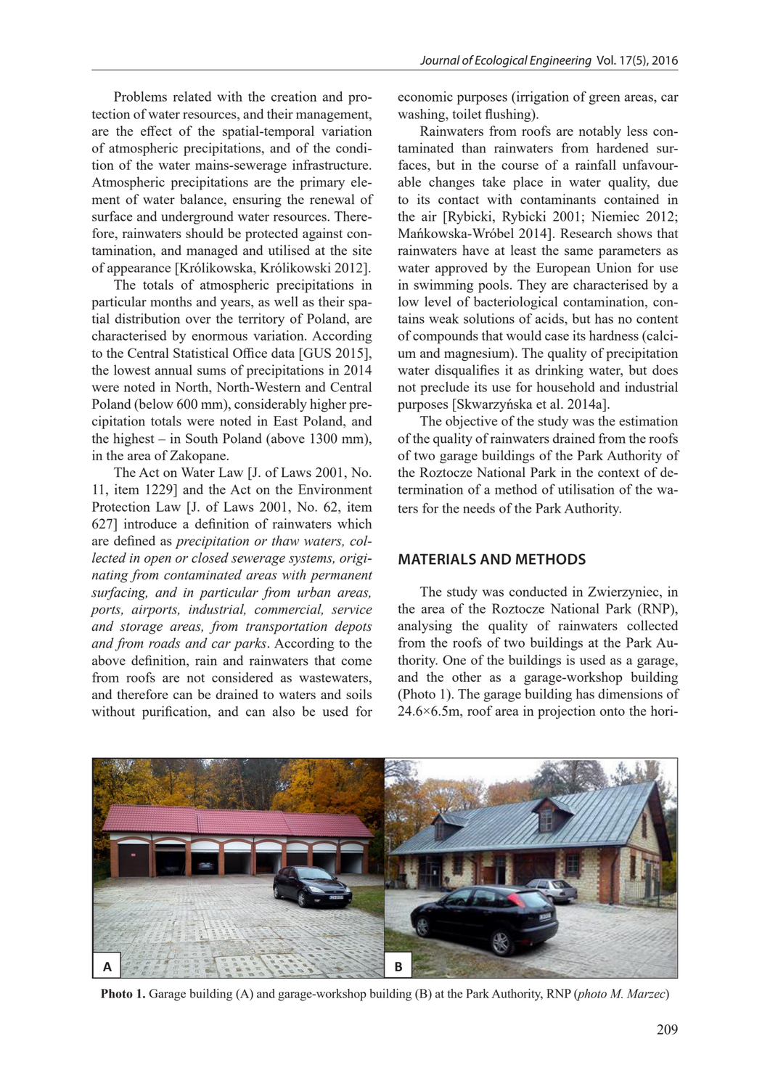Problems related with the creation and protection of water resources, and their management, are the effect of the spatial-temporal variation of atmospheric precipitations, and of the condition of the water mains-sewerage infrastructure. Atmospheric precipitations are the primary element of water balance, ensuring the renewal of surface and underground water resources. Therefore, rainwaters should be protected against contamination, and managed and utilised at the site of appearance [Królikowska, Królikowski 2012].

The totals of atmospheric precipitations in particular months and years, as well as their spatial distribution over the territory of Poland, are characterised by enormous variation. According to the Central Statistical Office data [GUS 2015], the lowest annual sums of precipitations in 2014 were noted in North, North-Western and Central Poland (below 600 mm), considerably higher precipitation totals were noted in East Poland, and the highest – in South Poland (above 1300 mm), in the area of Zakopane.

The Act on Water Law [J. of Laws 2001, No. 11, item 1229] and the Act on the Environment Protection Law [J. of Laws 2001, No. 62, item 627] introduce a definition of rainwaters which are defined as *precipitation or thaw waters, collected in open or closed sewerage systems, originating from contaminated areas with permanent surfacing, and in particular from urban areas, ports, airports, industrial, commercial, service and storage areas, from transportation depots and from roads and car parks*. According to the above definition, rain and rainwaters that come from roofs are not considered as wastewaters, and therefore can be drained to waters and soils without purification, and can also be used for

economic purposes (irrigation of green areas, car washing, toilet flushing).

Rainwaters from roofs are notably less contaminated than rainwaters from hardened surfaces, but in the course of a rainfall unfavourable changes take place in water quality, due to its contact with contaminants contained in the air [Rybicki, Rybicki 2001; Niemiec 2012; Mańkowska-Wróbel 2014]. Research shows that rainwaters have at least the same parameters as water approved by the European Union for use in swimming pools. They are characterised by a low level of bacteriological contamination, contains weak solutions of acids, but has no content of compounds that would case its hardness (calcium and magnesium). The quality of precipitation water disqualifies it as drinking water, but does not preclude its use for household and industrial purposes [Skwarzyńska et al. 2014a].

The objective of the study was the estimation of the quality of rainwaters drained from the roofs of two garage buildings of the Park Authority of the Roztocze National Park in the context of determination of a method of utilisation of the waters for the needs of the Park Authority.

#### **MATERIALS AND METHODS**

The study was conducted in Zwierzyniec, in the area of the Roztocze National Park (RNP), analysing the quality of rainwaters collected from the roofs of two buildings at the Park Authority. One of the buildings is used as a garage, and the other as a garage-workshop building (Photo 1). The garage building has dimensions of 24.6×6.5m, roof area in projection onto the hori-



**Photo 1.** Garage building (A) and garage-workshop building (B) at the Park Authority, RNP (*photo M. Marzec*)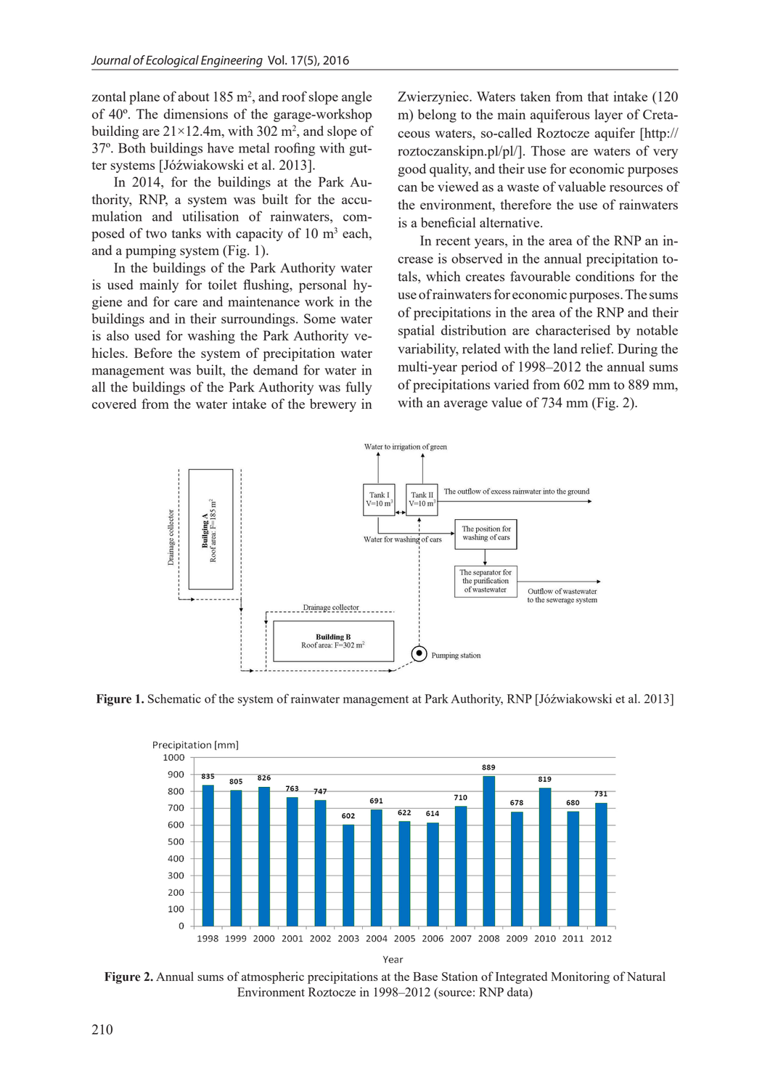zontal plane of about  $185 \text{ m}^2$ , and roof slope angle of 40º. The dimensions of the garage-workshop building are  $21 \times 12.4$ m, with 302 m<sup>2</sup>, and slope of 37º. Both buildings have metal roofing with gutter systems [Jóźwiakowski et al. 2013].

In 2014, for the buildings at the Park Authority, RNP, a system was built for the accumulation and utilisation of rainwaters, composed of two tanks with capacity of  $10 \text{ m}^3$  each, and a pumping system (Fig. 1).

In the buildings of the Park Authority water is used mainly for toilet flushing, personal hygiene and for care and maintenance work in the buildings and in their surroundings. Some water is also used for washing the Park Authority vehicles. Before the system of precipitation water management was built, the demand for water in all the buildings of the Park Authority was fully covered from the water intake of the brewery in Zwierzyniec. Waters taken from that intake (120 m) belong to the main aquiferous layer of Cretaceous waters, so-called Roztocze aquifer [http:// roztoczanskipn.pl/pl/]. Those are waters of very good quality, and their use for economic purposes can be viewed as a waste of valuable resources of the environment, therefore the use of rainwaters is a beneficial alternative.

In recent years, in the area of the RNP an increase is observed in the annual precipitation totals, which creates favourable conditions for the use of rainwaters for economic purposes. The sums of precipitations in the area of the RNP and their spatial distribution are characterised by notable variability, related with the land relief. During the multi-year period of 1998–2012 the annual sums of precipitations varied from 602 mm to 889 mm, with an average value of 734 mm (Fig. 2).



**Figure 1.** Schematic of the system of rainwater management at Park Authority, RNP [Jóźwiakowski et al. 2013]



**Figure 2.** Annual sums of atmospheric precipitations at the Base Station of Integrated Monitoring of Natural Environment Roztocze in 1998–2012 (source: RNP data)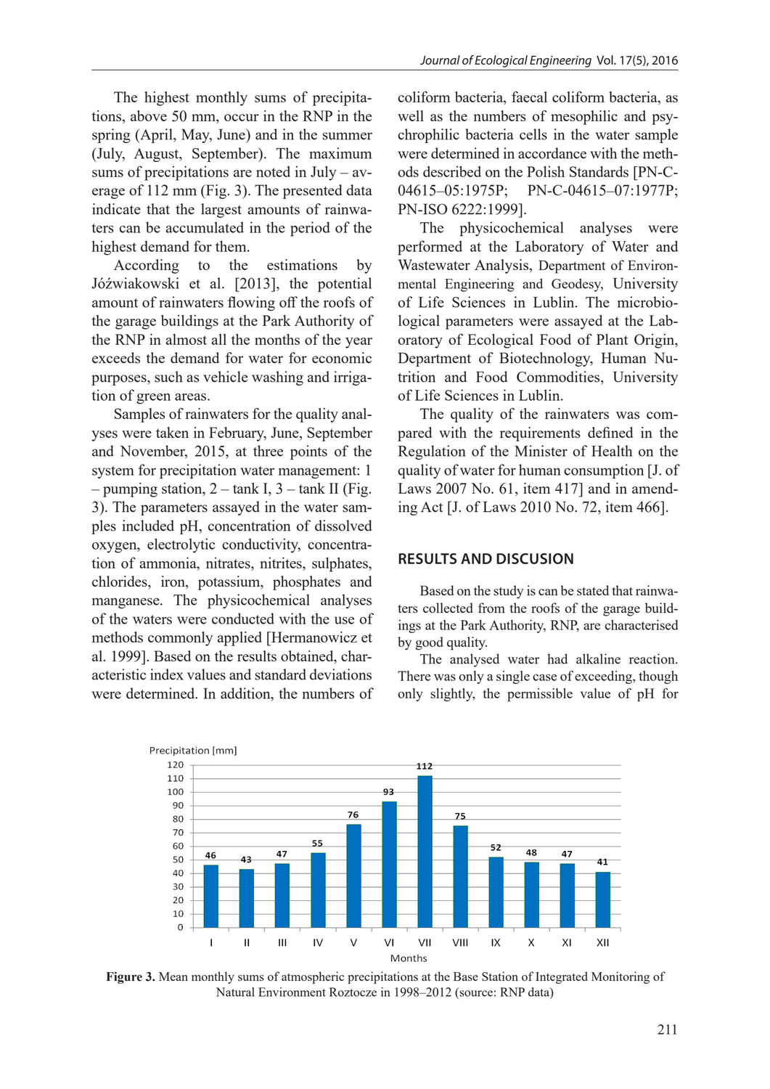The highest monthly sums of precipitations, above 50 mm, occur in the RNP in the spring (April, May, June) and in the summer (July, August, September). The maximum sums of precipitations are noted in July – average of 112 mm (Fig. 3). The presented data indicate that the largest amounts of rainwaters can be accumulated in the period of the highest demand for them.

According to the estimations by Jóźwiakowski et al. [2013], the potential amount of rainwaters flowing off the roofs of the garage buildings at the Park Authority of the RNP in almost all the months of the year exceeds the demand for water for economic purposes, such as vehicle washing and irrigation of green areas.

Samples of rainwaters for the quality analyses were taken in February, June, September and November, 2015, at three points of the system for precipitation water management: 1 – pumping station,  $2 - \text{tank } I$ ,  $3 - \text{tank } II$  (Fig. 3). The parameters assayed in the water samples included pH, concentration of dissolved oxygen, electrolytic conductivity, concentration of ammonia, nitrates, nitrites, sulphates, chlorides, iron, potassium, phosphates and manganese. The physicochemical analyses of the waters were conducted with the use of methods commonly applied [Hermanowicz et al. 1999]. Based on the results obtained, characteristic index values and standard deviations were determined. In addition, the numbers of

coliform bacteria, faecal coliform bacteria, as well as the numbers of mesophilic and psychrophilic bacteria cells in the water sample were determined in accordance with the methods described on the Polish Standards [PN-C-04615-05:1975P; PN-C-04615-07:1977P; PN-ISO 6222:1999].

The physicochemical analyses were performed at the Laboratory of Water and Wastewater Analysis, Department of Environmental Engineering and Geodesy, University of Life Sciences in Lublin. The microbiological parameters were assayed at the Laboratory of Ecological Food of Plant Origin, Department of Biotechnology, Human Nutrition and Food Commodities, University of Life Sciences in Lublin.

The quality of the rainwaters was compared with the requirements defined in the Regulation of the Minister of Health on the quality of water for human consumption [J. of Laws 2007 No. 61, item 417] and in amending Act [J. of Laws 2010 No. 72, item 466].

#### **RESULTS AND DISCUSION**

Based on the study is can be stated that rainwaters collected from the roofs of the garage buildings at the Park Authority, RNP, are characterised by good quality.

The analysed water had alkaline reaction. There was only a single case of exceeding, though only slightly, the permissible value of pH for



**Figure 3.** Mean monthly sums of atmospheric precipitations at the Base Station of Integrated Monitoring of Natural Environment Roztocze in 1998–2012 (source: RNP data)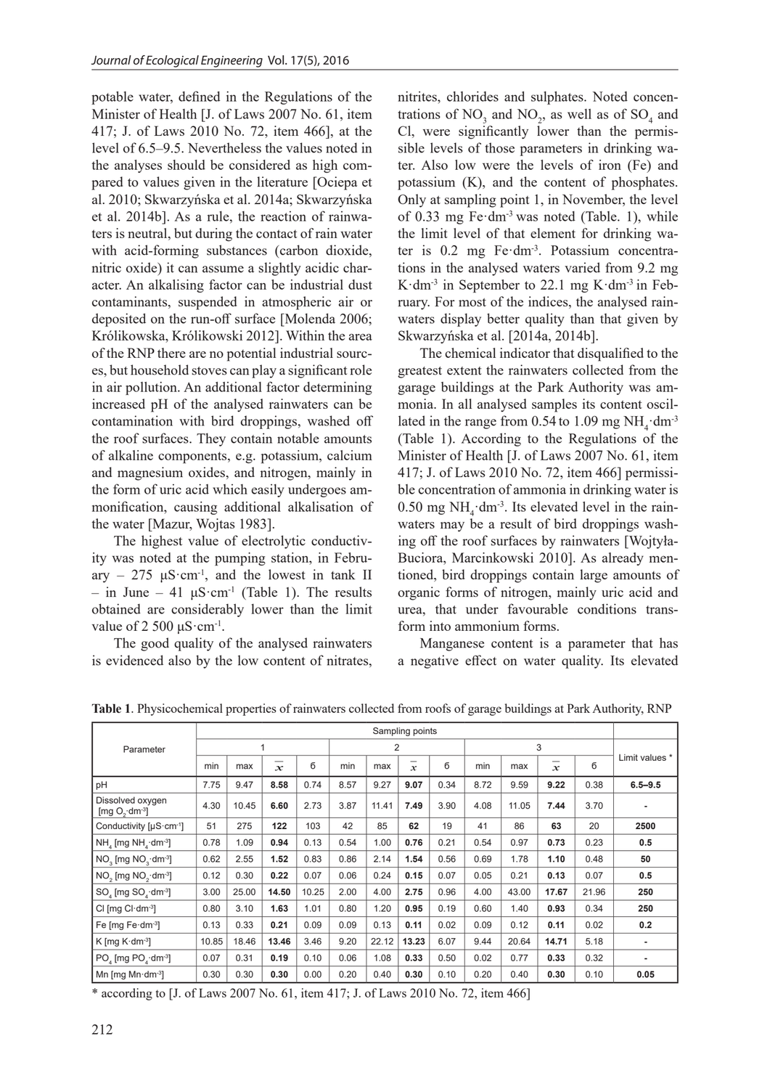potable water, defined in the Regulations of the Minister of Health [J. of Laws 2007 No. 61, item 417; J. of Laws 2010 No. 72, item 466], at the level of 6.5–9.5. Nevertheless the values noted in the analyses should be considered as high compared to values given in the literature [Ociepa et al. 2010; Skwarzyńska et al. 2014a; Skwarzyńska et al. 2014b]. As a rule, the reaction of rainwaters is neutral, but during the contact of rain water with acid-forming substances (carbon dioxide, nitric oxide) it can assume a slightly acidic character. An alkalising factor can be industrial dust contaminants, suspended in atmospheric air or deposited on the run-off surface [Molenda 2006; Królikowska, Królikowski 2012]. Within the area of the RNP there are no potential industrial sources, but household stoves can play a significant role in air pollution. An additional factor determining increased pH of the analysed rainwaters can be contamination with bird droppings, washed off the roof surfaces. They contain notable amounts of alkaline components, e.g. potassium, calcium and magnesium oxides, and nitrogen, mainly in the form of uric acid which easily undergoes ammonification, causing additional alkalisation of the water [Mazur, Wojtas 1983].

The highest value of electrolytic conductivity was noted at the pumping station, in February  $-275 \mu S \cdot cm^{-1}$ , and the lowest in tank II – in June – 41  $\mu$ S·cm<sup>-1</sup> (Table 1). The results obtained are considerably lower than the limit value of 2 500  $\mu$ S·cm<sup>-1</sup>.

The good quality of the analysed rainwaters is evidenced also by the low content of nitrates,

nitrites, chlorides and sulphates. Noted concentrations of  $NO_3$  and  $NO_2$ , as well as of  $SO_4$  and Cl, were significantly lower than the permissible levels of those parameters in drinking water. Also low were the levels of iron (Fe) and potassium (K), and the content of phosphates. Only at sampling point 1, in November, the level of 0.33 mg Fe·dm<sup>-3</sup> was noted (Table. 1), while the limit level of that element for drinking water is 0.2 mg Fe·dm<sup>-3</sup>. Potassium concentrations in the analysed waters varied from 9.2 mg  $K$ ·dm<sup>-3</sup> in September to 22.1 mg  $K$ ·dm<sup>-3</sup> in February. For most of the indices, the analysed rainwaters display better quality than that given by Skwarzyńska et al. [2014a, 2014b].

The chemical indicator that disqualified to the greatest extent the rainwaters collected from the garage buildings at the Park Authority was ammonia. In all analysed samples its content oscillated in the range from  $0.54$  to  $1.09$  mg  $NH_{4} \cdot dm^{-3}$ (Table 1). According to the Regulations of the Minister of Health [J. of Laws 2007 No. 61, item 417; J. of Laws 2010 No. 72, item 466] permissible concentration of ammonia in drinking water is  $0.50$  mg NH<sub>4</sub> $\cdot$ dm<sup>-3</sup>. Its elevated level in the rainwaters may be a result of bird droppings washing off the roof surfaces by rainwaters [Wojtyła-Buciora, Marcinkowski 2010]. As already mentioned, bird droppings contain large amounts of organic forms of nitrogen, mainly uric acid and urea, that under favourable conditions transform into ammonium forms.

Manganese content is a parameter that has a negative effect on water quality. Its elevated

| Parameter                                               | Sampling points |       |                |       |      |       |                   |      |      |       |           |       |                |
|---------------------------------------------------------|-----------------|-------|----------------|-------|------|-------|-------------------|------|------|-------|-----------|-------|----------------|
|                                                         |                 |       |                |       | 2    |       |                   |      |      |       |           |       |                |
|                                                         | min             | max   | $\overline{x}$ | б     | min  | max   | —<br>$\mathbf{x}$ | б    | min  | max   | $\bar{x}$ | б     | Limit values * |
| pH                                                      | 7.75            | 9.47  | 8.58           | 0.74  | 8.57 | 9.27  | 9.07              | 0.34 | 8.72 | 9.59  | 9.22      | 0.38  | $6.5 - 9.5$    |
| Dissolved oxygen<br>[mg $O_2$ dm <sup>-3</sup> ]        | 4.30            | 10.45 | 6.60           | 2.73  | 3.87 | 11.41 | 7.49              | 3.90 | 4.08 | 11.05 | 7.44      | 3.70  |                |
| Conductivity [µS·cm-1]                                  | 51              | 275   | 122            | 103   | 42   | 85    | 62                | 19   | 41   | 86    | 63        | 20    | 2500           |
| $NH, [mg NH, dm-3]$                                     | 0.78            | 1.09  | 0.94           | 0.13  | 0.54 | 1.00  | 0.76              | 0.21 | 0.54 | 0.97  | 0.73      | 0.23  | 0.5            |
| NO <sub>2</sub> [mg NO <sub>2</sub> ·dm <sup>-3</sup> ] | 0.62            | 2.55  | 1.52           | 0.83  | 0.86 | 2.14  | 1.54              | 0.56 | 0.69 | 1.78  | 1.10      | 0.48  | 50             |
| $NO2$ [mg $NO2$ dm <sup>-3</sup> ]                      | 0.12            | 0.30  | 0.22           | 0.07  | 0.06 | 0.24  | 0.15              | 0.07 | 0.05 | 0.21  | 0.13      | 0.07  | 0.5            |
| $SO_{4}$ [mg $SO_{4}$ dm <sup>-3</sup> ]                | 3.00            | 25.00 | 14.50          | 10.25 | 2.00 | 4.00  | 2.75              | 0.96 | 4.00 | 43.00 | 17.67     | 21.96 | 250            |
| CI [mg CI·dm-3]                                         | 0.80            | 3.10  | 1.63           | 1.01  | 0.80 | 1.20  | 0.95              | 0.19 | 0.60 | 1.40  | 0.93      | 0.34  | 250            |
| Fe [mg Fe $dm^3$ ]                                      | 0.13            | 0.33  | 0.21           | 0.09  | 0.09 | 0.13  | 0.11              | 0.02 | 0.09 | 0.12  | 0.11      | 0.02  | 0.2            |
| K [ $mq$ K $\cdot$ dm $\cdot$ <sup>3</sup> ]            | 10.85           | 18.46 | 13.46          | 3.46  | 9.20 | 22.12 | 13.23             | 6.07 | 9.44 | 20.64 | 14.71     | 5.18  |                |
| $PO_4$ [mg PO <sub>4</sub> ·dm <sup>-3</sup> ]          | 0.07            | 0.31  | 0.19           | 0.10  | 0.06 | 1.08  | 0.33              | 0.50 | 0.02 | 0.77  | 0.33      | 0.32  | ٠              |
| Mn [mg Mn·dm-3]                                         | 0.30            | 0.30  | 0.30           | 0.00  | 0.20 | 0.40  | 0.30              | 0.10 | 0.20 | 0.40  | 0.30      | 0.10  | 0.05           |

**Table 1**. Physicochemical properties of rainwaters collected from roofs of garage buildings at Park Authority, RNP

\* according to [J. of Laws 2007 No. 61, item 417; J. of Laws 2010 No. 72, item 466]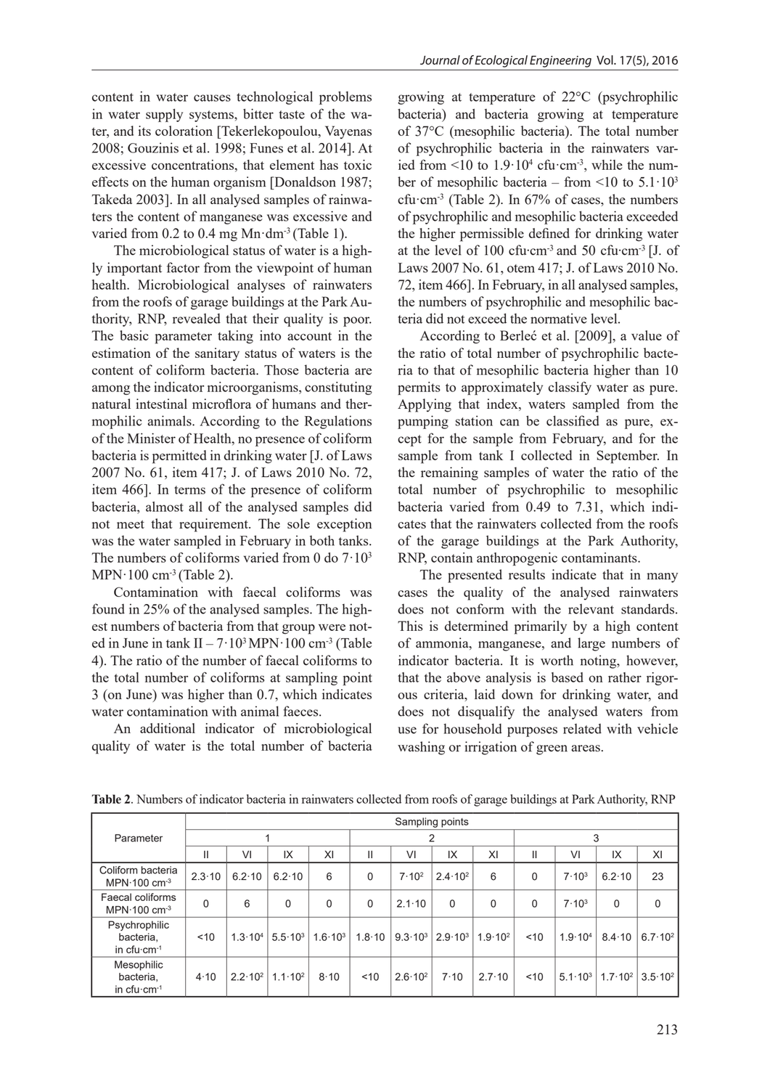content in water causes technological problems in water supply systems, bitter taste of the water, and its coloration [Tekerlekopoulou, Vayenas 2008; Gouzinis et al. 1998; Funes et al. 2014]. At excessive concentrations, that element has toxic effects on the human organism [Donaldson 1987; Takeda 2003]. In all analysed samples of rainwaters the content of manganese was excessive and varied from 0.2 to 0.4 mg  $Mn \cdot dm^{-3}$  (Table 1).

The microbiological status of water is a highly important factor from the viewpoint of human health. Microbiological analyses of rainwaters from the roofs of garage buildings at the Park Authority, RNP, revealed that their quality is poor. The basic parameter taking into account in the estimation of the sanitary status of waters is the content of coliform bacteria. Those bacteria are among the indicator microorganisms, constituting natural intestinal microflora of humans and thermophilic animals. According to the Regulations of the Minister of Health, no presence of coliform bacteria is permitted in drinking water [J. of Laws 2007 No. 61, item 417; J. of Laws 2010 No. 72, item 466]. In terms of the presence of coliform bacteria, almost all of the analysed samples did not meet that requirement. The sole exception was the water sampled in February in both tanks. The numbers of coliforms varied from 0 do  $7 \cdot 10^3$  $MPN·100$  cm<sup>-3</sup> (Table 2).

Contamination with faecal coliforms was found in 25% of the analysed samples. The highest numbers of bacteria from that group were noted in June in tank  $II - 7.10^3 \text{ MPN} \cdot 100 \text{ cm}^3$  (Table 4). The ratio of the number of faecal coliforms to the total number of coliforms at sampling point 3 (on June) was higher than 0.7, which indicates water contamination with animal faeces.

An additional indicator of microbiological quality of water is the total number of bacteria

growing at temperature of 22°C (psychrophilic bacteria) and bacteria growing at temperature of 37°C (mesophilic bacteria). The total number of psychrophilic bacteria in the rainwaters varied from  $\leq 10$  to  $1.9 \cdot 10^4$  cfu·cm<sup>-3</sup>, while the number of mesophilic bacteria – from  $\leq 10$  to  $5.1 \cdot 10^3$ cfu·cm<sup>-3</sup> (Table 2). In  $67\%$  of cases, the numbers of psychrophilic and mesophilic bacteria exceeded the higher permissible defined for drinking water at the level of 100 cfu∙cm-3 and 50 cfu∙cm-3 [J. of Laws 2007 No. 61, otem 417; J. of Laws 2010 No. 72, item 466]. In February, in all analysed samples, the numbers of psychrophilic and mesophilic bacteria did not exceed the normative level.

According to Berleć et al. [2009], a value of the ratio of total number of psychrophilic bacteria to that of mesophilic bacteria higher than 10 permits to approximately classify water as pure. Applying that index, waters sampled from the pumping station can be classified as pure, except for the sample from February, and for the sample from tank I collected in September. In the remaining samples of water the ratio of the total number of psychrophilic to mesophilic bacteria varied from 0.49 to 7.31, which indicates that the rainwaters collected from the roofs of the garage buildings at the Park Authority, RNP, contain anthropogenic contaminants.

The presented results indicate that in many cases the quality of the analysed rainwaters does not conform with the relevant standards. This is determined primarily by a high content of ammonia, manganese, and large numbers of indicator bacteria. It is worth noting, however, that the above analysis is based on rather rigorous criteria, laid down for drinking water, and does not disqualify the analysed waters from use for household purposes related with vehicle washing or irrigation of green areas.

|                                                         | Sampling points |                    |                    |                    |              |                    |                    |                    |          |                    |                    |                    |  |
|---------------------------------------------------------|-----------------|--------------------|--------------------|--------------------|--------------|--------------------|--------------------|--------------------|----------|--------------------|--------------------|--------------------|--|
| Parameter                                               |                 |                    |                    |                    |              |                    | 2                  |                    | 3        |                    |                    |                    |  |
|                                                         | Ш               | V <sub>l</sub>     | IX                 | XI                 | $\mathsf{I}$ | VI                 | IX                 | XI                 | Ш        | VI                 | IX                 | XI                 |  |
| Coliform bacteria<br>MPN $\cdot$ 100 cm $^{-3}$         | $2.3 \cdot 10$  | $6.2 \cdot 10$     | $6.2 \cdot 10$     | 6                  | $\Omega$     | $7.10^{2}$         | $2.4 \cdot 10^{2}$ | 6                  | $\Omega$ | $7.10^{3}$         | $6.2 \cdot 10$     | 23                 |  |
| Faecal coliforms<br>MPN $\cdot$ 100 cm $^{-3}$          | 0               | 6                  | $\Omega$           | 0                  | $\Omega$     | $2.1 \cdot 10$     | $\Omega$           | $\Omega$           | $\Omega$ | $7.10^{3}$         | $\Omega$           | 0                  |  |
| Psychrophilic<br>bacteria,<br>in $ctu$ cm <sup>-1</sup> | 10              | $1.3 \cdot 10^{4}$ | $5.5 \cdot 10^{3}$ | $1.6 \cdot 10^{3}$ | $1.8 - 10$   | $9.3 \cdot 10^{3}$ | $2.9 \cdot 10^{3}$ | $1.9 \cdot 10^{2}$ | < 10     | $1.9 \cdot 10^{4}$ | $8.4 \cdot 10$     | $6.7 \cdot 10^{2}$ |  |
| Mesophilic<br>bacteria,<br>in cfu $\cdot$ cm $^{-1}$    | 4.10            | $2.2 \cdot 10^{2}$ | $1.1 \cdot 10^{2}$ | 8.10               | < 10         | $2.6 \cdot 10^{2}$ | 7.10               | $2.7 \cdot 10$     | ~10      | $5.1 \cdot 10^{3}$ | $1.7 \cdot 10^{2}$ | $3.5 \cdot 10^{2}$ |  |

**Table 2**. Numbers of indicator bacteria in rainwaters collected from roofs of garage buildings at Park Authority, RNP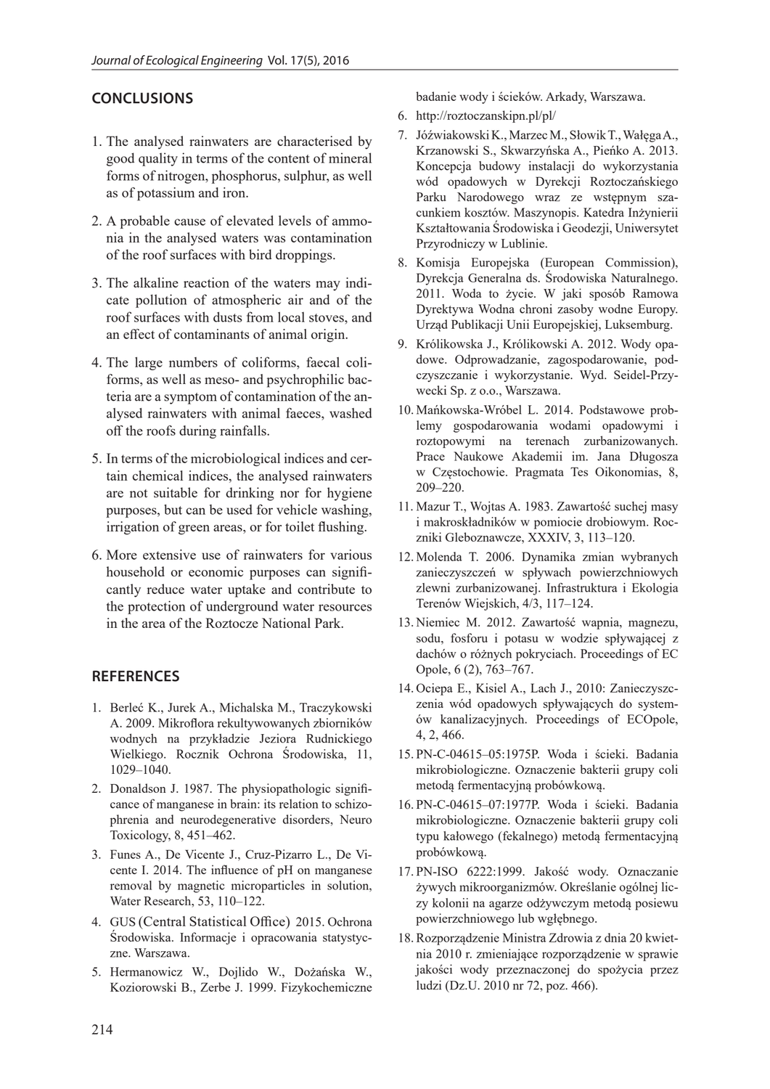## **CONCLUSIONS**

- 1. The analysed rainwaters are characterised by good quality in terms of the content of mineral forms of nitrogen, phosphorus, sulphur, as well as of potassium and iron.
- 2. A probable cause of elevated levels of ammonia in the analysed waters was contamination of the roof surfaces with bird droppings.
- 3. The alkaline reaction of the waters may indicate pollution of atmospheric air and of the roof surfaces with dusts from local stoves, and an effect of contaminants of animal origin.
- 4. The large numbers of coliforms, faecal coliforms, as well as meso- and psychrophilic bacteria are a symptom of contamination of the analysed rainwaters with animal faeces, washed off the roofs during rainfalls.
- 5. In terms of the microbiological indices and certain chemical indices, the analysed rainwaters are not suitable for drinking nor for hygiene purposes, but can be used for vehicle washing, irrigation of green areas, or for toilet flushing.
- 6. More extensive use of rainwaters for various household or economic purposes can significantly reduce water uptake and contribute to the protection of underground water resources in the area of the Roztocze National Park.

## **REFERENCES**

- 1. Berleć K., Jurek A., Michalska M., Traczykowski A. 2009. Mikroflora rekultywowanych zbiorników wodnych na przykładzie Jeziora Rudnickiego Wielkiego. Rocznik Ochrona Środowiska, 11, 1029–1040.
- 2. Donaldson J. 1987. The physiopathologic significance of manganese in brain: its relation to schizophrenia and neurodegenerative disorders, Neuro Toxicology, 8, 451–462.
- 3. Funes A., De Vicente J., Cruz-Pizarro L., De Vicente I. 2014. The influence of pH on manganese removal by magnetic microparticles in solution, Water Research, 53, 110–122.
- 4. GUS (Central Statistical Office) 2015. Ochrona Środowiska. Informacje i opracowania statystyczne. Warszawa.
- 5. Hermanowicz W., Dojlido W., Dożańska W., Koziorowski B., Zerbe J. 1999. Fizykochemiczne

badanie wody i ścieków. Arkady, Warszawa.

- 6. http://roztoczanskipn.pl/pl/
- 7. Jóźwiakowski K., Marzec M., Słowik T., Wałęga A., Krzanowski S., Skwarzyńska A., Pieńko A. 2013. Koncepcja budowy instalacji do wykorzystania wód opadowych w Dyrekcji Roztoczańskiego Parku Narodowego wraz ze wstępnym szacunkiem kosztów. Maszynopis. Katedra Inżynierii Kształtowania Środowiska i Geodezji, Uniwersytet Przyrodniczy w Lublinie.
- 8. Komisja Europejska (European Commission), Dyrekcja Generalna ds. Środowiska Naturalnego. 2011. Woda to życie. W jaki sposób Ramowa Dyrektywa Wodna chroni zasoby wodne Europy. Urząd Publikacji Unii Europejskiej, Luksemburg.
- 9. Królikowska J., Królikowski A. 2012. Wody opadowe. Odprowadzanie, zagospodarowanie, podczyszczanie i wykorzystanie. Wyd. Seidel-Przywecki Sp. z o.o., Warszawa.
- 10. Mańkowska-Wróbel L. 2014. Podstawowe problemy gospodarowania wodami opadowymi i roztopowymi na terenach zurbanizowanych. Prace Naukowe Akademii im. Jana Długosza w Częstochowie. Pragmata Tes Oikonomias, 8, 209–220.
- 11. Mazur T., Wojtas A. 1983. Zawartość suchej masy i makroskładników w pomiocie drobiowym. Roczniki Gleboznawcze, XXXIV, 3, 113–120.
- 12. Molenda T. 2006. Dynamika zmian wybranych zanieczyszczeń w spływach powierzchniowych zlewni zurbanizowanej. Infrastruktura i Ekologia Terenów Wiejskich, 4/3, 117–124.
- 13. Niemiec M. 2012. Zawartość wapnia, magnezu, sodu, fosforu i potasu w wodzie spływającej z dachów o różnych pokryciach. Proceedings of EC Opole, 6 (2), 763–767.
- 14. Ociepa E., Kisiel A., Lach J., 2010: Zanieczyszczenia wód opadowych spływających do systemów kanalizacyjnych. Proceedings of ECOpole, 4, 2, 466.
- 15. PN-C-04615–05:1975P. Woda i ścieki. Badania mikrobiologiczne. Oznaczenie bakterii grupy coli metodą fermentacyjną probówkową.
- 16. PN-C-04615–07:1977P. Woda i ścieki. Badania mikrobiologiczne. Oznaczenie bakterii grupy coli typu kałowego (fekalnego) metodą fermentacyjną probówkową.
- 17. PN-ISO 6222:1999. Jakość wody. Oznaczanie żywych mikroorganizmów. Określanie ogólnej liczy kolonii na agarze odżywczym metodą posiewu powierzchniowego lub wgłębnego.
- 18. Rozporządzenie Ministra Zdrowia z dnia 20 kwietnia 2010 r. zmieniające rozporządzenie w sprawie jakości wody przeznaczonej do spożycia przez ludzi (Dz.U. 2010 nr 72, poz. 466).